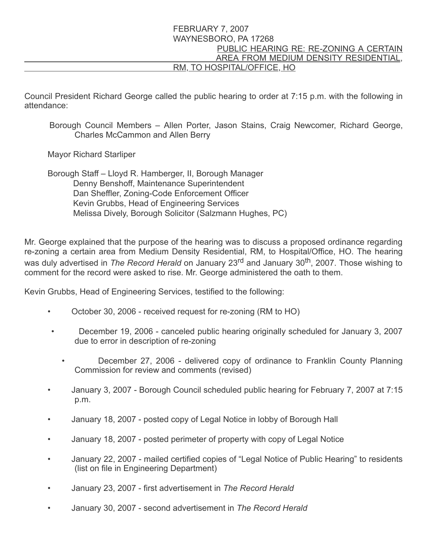## FEBRUARY 7, 2007 WAYNESBORO, PA 17268 PUBLIC HEARING RE: RE-ZONING A CERTAIN AREA FROM MEDIUM DENSITY RESIDENTIAL, RM, TO HOSPITAL/OFFICE, HO

Council President Richard George called the public hearing to order at 7:15 p.m. with the following in attendance:

Borough Council Members – Allen Porter, Jason Stains, Craig Newcomer, Richard George, Charles McCammon and Allen Berry

Mayor Richard Starliper

 Borough Staff – Lloyd R. Hamberger, II, Borough Manager Denny Benshoff, Maintenance Superintendent Dan Sheffler, Zoning-Code Enforcement Officer Kevin Grubbs, Head of Engineering Services Melissa Dively, Borough Solicitor (Salzmann Hughes, PC)

Mr. George explained that the purpose of the hearing was to discuss a proposed ordinance regarding re-zoning a certain area from Medium Density Residential, RM, to Hospital/Office, HO. The hearing was duly advertised in *The Record Herald* on January 23<sup>rd</sup> and January 30<sup>th</sup>, 2007. Those wishing to comment for the record were asked to rise. Mr. George administered the oath to them.

Kevin Grubbs, Head of Engineering Services, testified to the following:

- October 30, 2006 received request for re-zoning (RM to HO)
- December 19, 2006 canceled public hearing originally scheduled for January 3, 2007 due to error in description of re-zoning
	- December 27, 2006 delivered copy of ordinance to Franklin County Planning Commission for review and comments (revised)
- January 3, 2007 Borough Council scheduled public hearing for February 7, 2007 at 7:15 p.m.
- January 18, 2007 posted copy of Legal Notice in lobby of Borough Hall
- January 18, 2007 posted perimeter of property with copy of Legal Notice
- January 22, 2007 mailed certified copies of "Legal Notice of Public Hearing" to residents (list on file in Engineering Department)
- January 23, 2007 first advertisement in The Record Herald
- January 30, 2007 second advertisement in The Record Herald